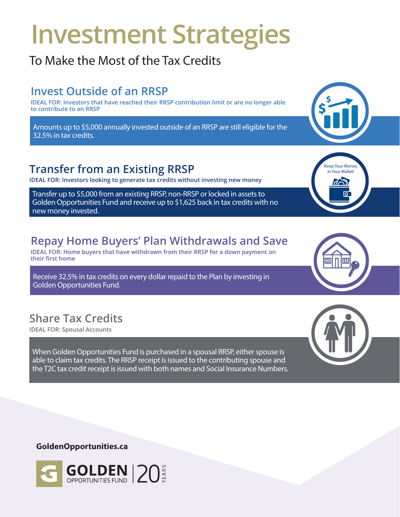# **Investment Strategies**

## To Make the Most of the Tax Credits

## **Invest Outside of an RRSP**

**IDEAL FOR: Investors that have reached their RRSP contribution limit or are no longer able to contribute to an RRSP**

Amounts up to \$5,000 annually invested outside of an RRSP are still eligible for the 32.5% in tax credits.

## **Transfer from an Existing RRSP**

**IDEAL FOR: Investors looking to generate tax credits without investing new money**

Transfer up to \$5,000 from an existing RRSP, non-RRSP or locked in assets to Golden Opportunities Fund and receive up to \$1,625 back in tax credits with no new money invested.

## **Repay Home Buyers' Plan Withdrawals and Save**

**IDEAL FOR: Home buyers that have withdrawn from their RRSP for a down payment on their first home**

Receive 32.5% in tax credits on every dollar repaid to the Plan by investing in Golden Opportunities Fund.

## **Share Tax Credits**

**IDEAL FOR: Spousal Accounts** 

When Golden Opportunities Fund is purchased in a spousal RRSP, either spouse is able to claim tax credits. The RRSP receipt is issued to the contributing spouse and the T2C tax credit receipt is issued with both names and Social Insurance Numbers.

#### **GoldenOpportunities.ca**





Keep Your Money in Your Wallet!